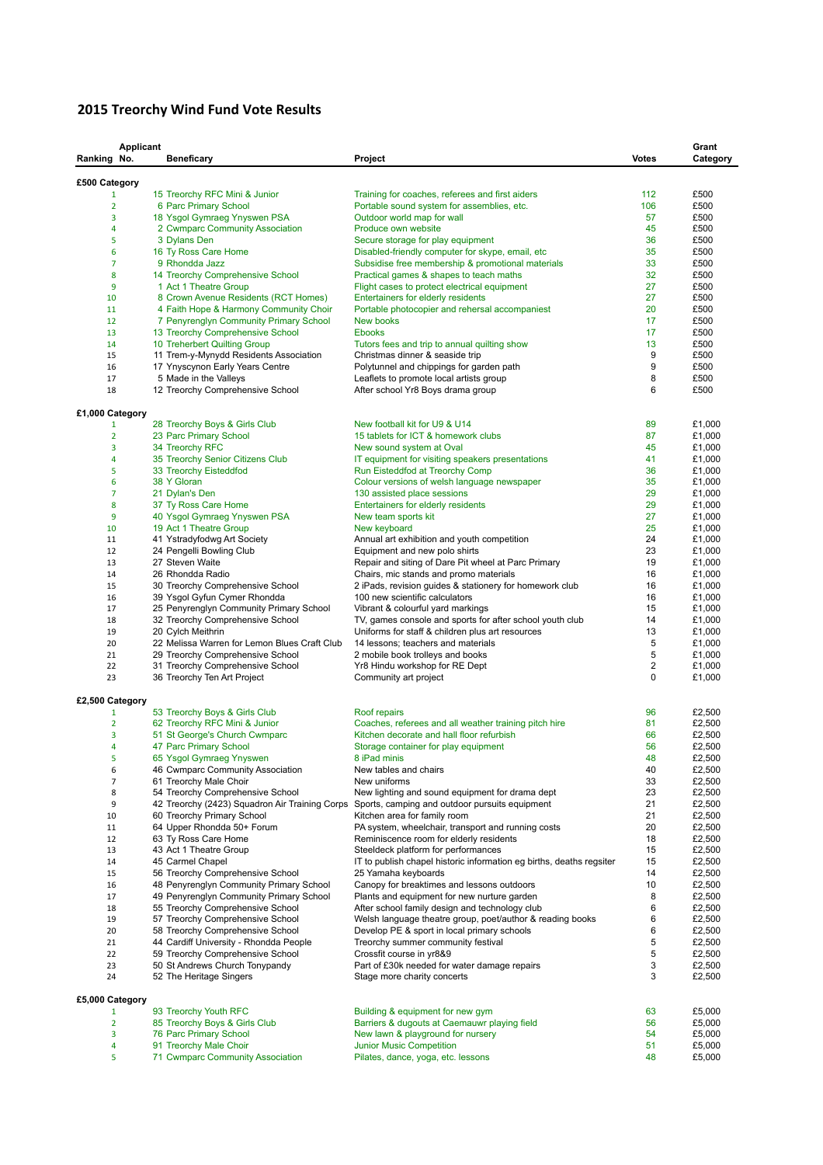## **2015 Treorchy Wind Fund Vote Results**

| Ranking No.          | Applicant | <b>Beneficary</b>                                                                  | Project                                                                                                                                          | <b>Votes</b>   | Grant<br>Category |
|----------------------|-----------|------------------------------------------------------------------------------------|--------------------------------------------------------------------------------------------------------------------------------------------------|----------------|-------------------|
| £500 Category        |           |                                                                                    |                                                                                                                                                  |                |                   |
| 1                    |           | 15 Treorchy RFC Mini & Junior                                                      | Training for coaches, referees and first aiders                                                                                                  | 112            | £500              |
| $\overline{2}$       |           | 6 Parc Primary School                                                              | Portable sound system for assemblies, etc.                                                                                                       | 106            | £500              |
| 3                    |           | 18 Ysgol Gymraeg Ynyswen PSA                                                       | Outdoor world map for wall                                                                                                                       | 57             | £500              |
| 4<br>5               |           | 2 Cwmparc Community Association<br>3 Dylans Den                                    | Produce own website<br>Secure storage for play equipment                                                                                         | 45<br>36       | £500<br>£500      |
| 6                    |           | 16 Ty Ross Care Home                                                               | Disabled-friendly computer for skype, email, etc.                                                                                                | 35             | £500              |
| $\overline{7}$       |           | 9 Rhondda Jazz                                                                     | Subsidise free membership & promotional materials                                                                                                | 33             | £500              |
| 8                    |           | 14 Treorchy Comprehensive School                                                   | Practical games & shapes to teach maths                                                                                                          | 32             | £500              |
| 9                    |           | 1 Act 1 Theatre Group                                                              | Flight cases to protect electrical equipment                                                                                                     | 27             | £500              |
| 10                   |           | 8 Crown Avenue Residents (RCT Homes)<br>4 Faith Hope & Harmony Community Choir     | Entertainers for elderly residents                                                                                                               | 27<br>20       | £500<br>£500      |
| 11<br>12             |           | 7 Penyrenglyn Community Primary School                                             | Portable photocopier and rehersal accompaniest<br>New books                                                                                      | 17             | £500              |
| 13                   |           | 13 Treorchy Comprehensive School                                                   | <b>Ebooks</b>                                                                                                                                    | 17             | £500              |
| 14                   |           | 10 Treherbert Quilting Group                                                       | Tutors fees and trip to annual quilting show                                                                                                     | 13             | £500              |
| 15                   |           | 11 Trem-y-Mynydd Residents Association                                             | Christmas dinner & seaside trip                                                                                                                  | 9              | £500              |
| 16                   |           | 17 Ynyscynon Early Years Centre                                                    | Polytunnel and chippings for garden path                                                                                                         | 9              | £500              |
| 17<br>18             |           | 5 Made in the Valleys<br>12 Treorchy Comprehensive School                          | Leaflets to promote local artists group<br>After school Yr8 Boys drama group                                                                     | 8<br>6         | £500<br>£500      |
|                      |           |                                                                                    |                                                                                                                                                  |                |                   |
| £1,000 Category<br>1 |           | 28 Treorchy Boys & Girls Club                                                      | New football kit for U9 & U14                                                                                                                    | 89             | £1,000            |
| $\overline{2}$       |           | 23 Parc Primary School                                                             | 15 tablets for ICT & homework clubs                                                                                                              | 87             | £1,000            |
| 3                    |           | 34 Treorchy RFC                                                                    | New sound system at Oval                                                                                                                         | 45             | £1,000            |
| 4                    |           | 35 Treorchy Senior Citizens Club                                                   | IT equipment for visiting speakers presentations                                                                                                 | 41             | £1,000            |
| 5                    |           | 33 Treorchy Eisteddfod                                                             | Run Eisteddfod at Treorchy Comp                                                                                                                  | 36             | £1,000            |
| 6                    |           | 38 Y Gloran                                                                        | Colour versions of welsh language newspaper                                                                                                      | 35             | £1,000            |
| $\overline{7}$       |           | 21 Dylan's Den                                                                     | 130 assisted place sessions                                                                                                                      | 29             | £1,000            |
| 8<br>9               |           | 37 Ty Ross Care Home<br>40 Ysgol Gymraeg Ynyswen PSA                               | Entertainers for elderly residents<br>New team sports kit                                                                                        | 29<br>27       | £1,000<br>£1,000  |
| 10                   |           | 19 Act 1 Theatre Group                                                             | New keyboard                                                                                                                                     | 25             | £1,000            |
| 11                   |           | 41 Ystradyfodwg Art Society                                                        | Annual art exhibition and youth competition                                                                                                      | 24             | £1,000            |
| 12                   |           | 24 Pengelli Bowling Club                                                           | Equipment and new polo shirts                                                                                                                    | 23             | £1,000            |
| 13                   |           | 27 Steven Waite                                                                    | Repair and siting of Dare Pit wheel at Parc Primary                                                                                              | 19             | £1,000            |
| 14                   |           | 26 Rhondda Radio                                                                   | Chairs, mic stands and promo materials                                                                                                           | 16             | £1,000            |
| 15                   |           | 30 Treorchy Comprehensive School                                                   | 2 iPads, revision guides & stationery for homework club                                                                                          | 16             | £1,000            |
| 16<br>17             |           | 39 Ysgol Gyfun Cymer Rhondda<br>25 Penyrenglyn Community Primary School            | 100 new scientific calculators<br>Vibrant & colourful yard markings                                                                              | 16<br>15       | £1,000<br>£1,000  |
| 18                   |           | 32 Treorchy Comprehensive School                                                   | TV, games console and sports for after school youth club                                                                                         | 14             | £1,000            |
| 19                   |           | 20 Cylch Meithrin                                                                  | Uniforms for staff & children plus art resources                                                                                                 | 13             | £1,000            |
| 20                   |           | 22 Melissa Warren for Lemon Blues Craft Club                                       | 14 lessons; teachers and materials                                                                                                               | 5              | £1,000            |
| 21                   |           | 29 Treorchy Comprehensive School                                                   | 2 mobile book trolleys and books                                                                                                                 | 5              | £1,000            |
| 22                   |           | 31 Treorchy Comprehensive School                                                   | Yr8 Hindu workshop for RE Dept                                                                                                                   | $\overline{c}$ | £1,000            |
| 23                   |           | 36 Treorchy Ten Art Project                                                        | Community art project                                                                                                                            | 0              | £1,000            |
| £2,500 Category<br>1 |           | 53 Treorchy Boys & Girls Club                                                      | Roof repairs                                                                                                                                     | 96             | £2,500            |
| $\overline{2}$       |           | 62 Treorchy RFC Mini & Junior                                                      | Coaches, referees and all weather training pitch hire                                                                                            | 81             | £2,500            |
| 3                    |           | 51 St George's Church Cwmparc                                                      | Kitchen decorate and hall floor refurbish                                                                                                        | 66             | £2,500            |
| 4                    |           | 47 Parc Primary School                                                             | Storage container for play equipment                                                                                                             | 56             | £2,500            |
| 5                    |           | 65 Ysgol Gymraeg Ynyswen                                                           | 8 iPad minis                                                                                                                                     | 48             | £2,500            |
| 6                    |           | 46 Cwmparc Community Association                                                   | New tables and chairs                                                                                                                            | 40             | £2,500            |
| $\overline{7}$       |           | 61 Treorchy Male Choir                                                             | New uniforms                                                                                                                                     | 33             | £2,500            |
| 8<br>9               |           | 54 Treorchy Comprehensive School                                                   | New lighting and sound equipment for drama dept<br>42 Treorchy (2423) Squadron Air Training Corps Sports, camping and outdoor pursuits equipment | 23<br>21       | £2,500<br>£2,500  |
| 10                   |           | 60 Treorchy Primary School                                                         | Kitchen area for family room                                                                                                                     | 21             | £2,500            |
| 11                   |           | 64 Upper Rhondda 50+ Forum                                                         | PA system, wheelchair, transport and running costs                                                                                               | 20             | £2,500            |
| 12                   |           | 63 Ty Ross Care Home                                                               | Reminiscence room for elderly residents                                                                                                          | 18             | £2,500            |
| 13                   |           | 43 Act 1 Theatre Group                                                             | Steeldeck platform for performances                                                                                                              | 15             | £2,500            |
| 14                   |           | 45 Carmel Chapel                                                                   | IT to publish chapel historic information eg births, deaths regsiter                                                                             | 15             | £2,500            |
| 15                   |           | 56 Treorchy Comprehensive School                                                   | 25 Yamaha keyboards                                                                                                                              | 14<br>10       | £2,500<br>£2,500  |
| 16<br>17             |           | 48 Penyrenglyn Community Primary School<br>49 Penyrenglyn Community Primary School | Canopy for breaktimes and lessons outdoors<br>Plants and equipment for new nurture garden                                                        | 8              | £2,500            |
| 18                   |           | 55 Treorchy Comprehensive School                                                   | After school family design and technology club                                                                                                   | 6              | £2,500            |
| 19                   |           | 57 Treorchy Comprehensive School                                                   | Welsh language theatre group, poet/author & reading books                                                                                        | 6              | £2,500            |
| 20                   |           | 58 Treorchy Comprehensive School                                                   | Develop PE & sport in local primary schools                                                                                                      | 6              | £2,500            |
| 21                   |           | 44 Cardiff University - Rhondda People                                             | Treorchy summer community festival                                                                                                               | 5              | £2,500            |
| 22                   |           | 59 Treorchy Comprehensive School                                                   | Crossfit course in yr8&9                                                                                                                         | 5              | £2,500            |
| 23<br>24             |           | 50 St Andrews Church Tonypandy<br>52 The Heritage Singers                          | Part of £30k needed for water damage repairs<br>Stage more charity concerts                                                                      | 3<br>3         | £2,500<br>£2,500  |
|                      |           |                                                                                    |                                                                                                                                                  |                |                   |
| £5,000 Category<br>1 |           | 93 Treorchy Youth RFC                                                              | Building & equipment for new gym                                                                                                                 | 63             | £5,000            |
| $\overline{2}$       |           | 85 Treorchy Boys & Girls Club                                                      | Barriers & dugouts at Caemauwr playing field                                                                                                     | 56             | £5,000            |
| 3                    |           | 76 Parc Primary School                                                             | New lawn & playground for nursery                                                                                                                | 54             | £5,000            |
| 4                    |           | 91 Treorchy Male Choir                                                             | <b>Junior Music Competition</b>                                                                                                                  | 51             | £5,000            |
| 5                    |           | 71 Cwmparc Community Association                                                   | Pilates, dance, yoga, etc. lessons                                                                                                               | 48             | £5,000            |